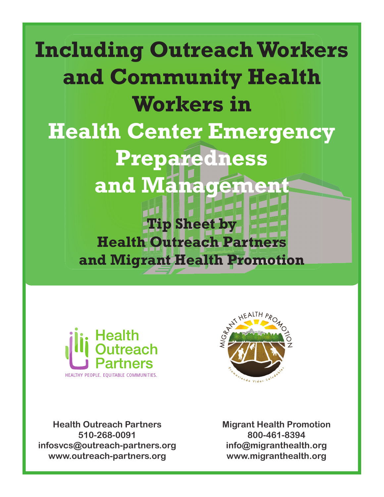# **Including OutreachWorkers and Community Health Workers in Health Center Emergency Preparedness and Management Tip Sheet by Health Outreach Partners and Migrant Health Promotion**





**Health Outreach Partners 510-268-0091 infosvcs@outreach-partners.org www.outreach-partners.org**

**Migrant Health Promotion 800-461-8394 info@migranthealth.org www.migranthealth.org**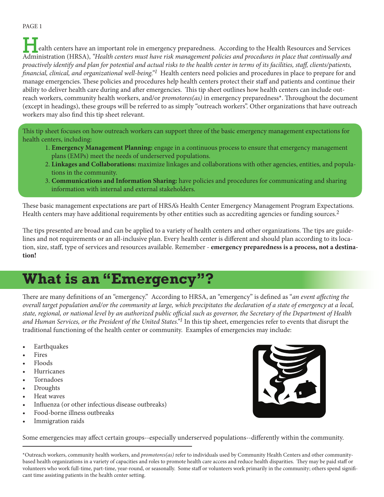PAGE 1

ealth centers have an important role in emergency preparedness. According to the Health Resources and Services Administration (HRSA), *"Health centers must have risk management policies and procedures in place that continually and proactively identify and plan for potential and actual risks to the health center in terms of its facilities, staff , clients/patients, financial, clinical, and organizational well-being.*"<sup>1</sup> Health centers need policies and procedures in place to prepare for and manage emergencies. These policies and procedures help health centers protect their staff and patients and continue their ability to deliver health care during and after emergencies. This tip sheet outlines how health centers can include outreach workers, community health workers, and/or *promotores(as)* in emergency preparedness<sup>\*</sup>. Throughout the document (except in headings), these groups will be referred to as simply "outreach workers". Other organizations that have outreach workers may also find this tip sheet relevant.

This tip sheet focuses on how outreach workers can support three of the basic emergency management expectations for health centers, including:

- 1. **Emergency Management Planning:** engage in a continuous process to ensure that emergency management plans (EMPs) meet the needs of underserved populations.
- 2. **Linkages and Collaborations:** maximize linkages and collaborations with other agencies, entities, and popula tions in the community.
- 3. **Communications and Information Sharing:** have policies and procedures for communicating and sharing information with internal and external stakeholders.

These basic management expectations are part of HRSA's Health Center Emergency Management Program Expectations. Health centers may have additional requirements by other entities such as accrediting agencies or funding sources.<sup>2</sup>

The tips presented are broad and can be applied to a variety of health centers and other organizations. The tips are guidelines and not requirements or an all-inclusive plan. Every health center is different and should plan according to its location, size, staff , type of services and resources available. Remember - **emergency preparedness is a process, not a destination!** 

# **What is an "Emergency"?**

There are many definitions of an "emergency." According to HRSA, an "emergency" is defined as "*an event affecting the overall target population and/or the community at large, which precipitates the declaration of a state of emergency at a local,*  state, regional, or national level by an authorized public official such as governor, the Secretary of the Department of Health *and Human Services, or the President of the United States."1* In this tip sheet, emergencies refer to events that disrupt the traditional functioning of the health center or community. Examples of emergencies may include:

- **Earthquakes**
- **Fires**
- Floods
- **Hurricanes**
- **Tornadoes**
- **Droughts**
- Heat waves
- Influenza (or other infectious disease outbreaks)
- Food-borne illness outbreaks
- Immigration raids



Some emergencies may affect certain groups--especially underserved populations--differently within the community.

\*Outreach workers, community health workers, and *promotores(as)* refer to individuals used by Community Health Centers and other communitybased health organizations in a variety of capacities and roles to promote health care access and reduce health disparities. They may be paid staff or volunteers who work full-time, part-time, year-round, or seasonally. Some staff or volunteers work primarily in the community; others spend significant time assisting patients in the health center setting.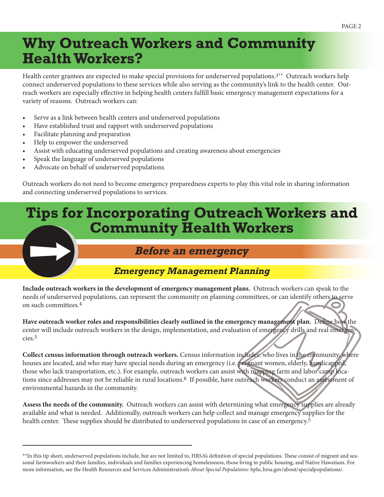# **Why Outreach Workers and Community Health Workers?**

Health center grantees are expected to make special provisions for underserved populations.3\*\* Outreach workers help connect underserved populations to these services while also serving as the community's link to the health center. Outreach workers are especially effective in helping health centers fulfill basic emergency management expectations for a variety of reasons. Outreach workers can:

- Serve as a link between health centers and underserved populations
- Have established trust and rapport with underserved populations
- Facilitate planning and preparation
- Help to empower the underserved
- Assist with educating underserved populations and creating awareness about emergencies
- Speak the language of underserved populations
- Advocate on behalf of underserved populations

Outreach workers do not need to become emergency preparedness experts to play this vital role in sharing information and connecting underserved populations to services.

# **Tips for Incorporating Outreach Workers and Community Health Workers**

## *Before an emergency*

#### *Emergency Management Planning*

**Include outreach workers in the development of emergency management plans.** Outreach workers can speak to the needs of underserved populations, can represent the community on planning committees, or can identify others to serve on such committees.4

Have outreach worker roles and responsibilities clearly outlined in the emergency management plan. Define how the center will include outreach workers in the design, implementation, and evaluation of emergency drills and real emergencies.5

**Collect census information through outreach workers.** Census information includes: who lives in the community, where houses are located, and who may have special needs during an emergency (i.e. pregnant women, elderly, handicapped, those who lack transportation, etc.). For example, outreach workers can assist with mapping farm and labor camp locations since addresses may not be reliable in rural locations.6 If possible, have outreach workers conduct an assessment of environmental hazards in the community.

**Assess the needs of the community.** Outreach workers can assist with determining what emergency supplies are already available and what is needed. Additionally, outreach workers can help collect and manage emergency supplies for the health center. These supplies should be distributed to underserved populations in case of an emergency.<sup>5</sup>

<sup>\*\*</sup>In this tip sheet, underserved populations include, but are not limited to, HRSA's definition of special populations. These consist of migrant and seasonal farmworkers and their families, individuals and families experiencing homelessness, those living in public housing, and Native Hawaiians. For more information, see the Health Resources and Services Administration's *About Special Populations*: bphc.hrsa.gov/about/specialpopulations/.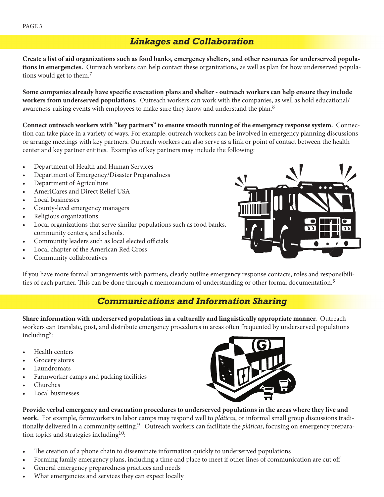## *Linkages and Collaboration*

**Create a list of aid organizations such as food banks, emergency shelters, and other resources for underserved populations in emergencies.** Outreach workers can help contact these organizations, as well as plan for how underserved populations would get to them.<sup>7</sup>

Some companies already have specific evacuation plans and shelter - outreach workers can help ensure they include **workers from underserved populations.** Outreach workers can work with the companies, as well as hold educational/ awareness-raising events with employees to make sure they know and understand the plan.<sup>8</sup>

**Connect outreach workers with "key partners" to ensure smooth running of the emergency response system.** Connection can take place in a variety of ways. For example, outreach workers can be involved in emergency planning discussions or arrange meetings with key partners. Outreach workers can also serve as a link or point of contact between the health center and key partner entities. Examples of key partners may include the following:

- Department of Health and Human Services
- Department of Emergency/Disaster Preparedness
- Department of Agriculture
- AmeriCares and Direct Relief USA
- Local businesses
- County-level emergency managers
- Religious organizations
- Local organizations that serve similar populations such as food banks, community centers, and schools.
- Community leaders such as local elected officials
- Local chapter of the American Red Cross
- Community collaboratives



If you have more formal arrangements with partners, clearly outline emergency response contacts, roles and responsibilities of each partner. This can be done through a memorandum of understanding or other formal documentation.<sup>5</sup>

## *Communications and Information Sharing*

**Share information with underserved populations in a culturally and linguistically appropriate manner.** Outreach workers can translate, post, and distribute emergency procedures in areas often frequented by underserved populations including8:

- Health centers
- Grocery stores
- **Laundromats**
- Farmworker camps and packing facilities
- Churches
- Local businesses



**Provide verbal emergency and evacuation procedures to underserved populations in the areas where they live and work.** For example, farmworkers in labor camps may respond well to *pláticas*, or informal small group discussions traditionally delivered in a community setting.9 Outreach workers can facilitate the *pláticas*, focusing on emergency preparation topics and strategies including<sup>10</sup>:

- The creation of a phone chain to disseminate information quickly to underserved populations
- Forming family emergency plans, including a time and place to meet if other lines of communication are cut off
- General emergency preparedness practices and needs
- What emergencies and services they can expect locally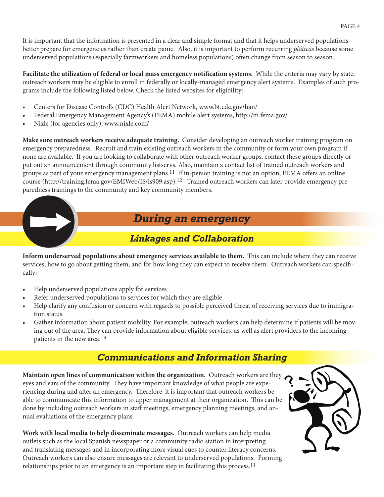It is important that the information is presented in a clear and simple format and that it helps underserved populations better prepare for emergencies rather than create panic. Also, it is important to perform recurring *pláticas* because some underserved populations (especially farmworkers and homeless populations) often change from season to season.

**Facilitate the utilization of federal or local mass emergency notification systems.** While the criteria may vary by state, outreach workers may be eligible to enroll in federally or locally-managed emergency alert systems. Examples of such programs include the following listed below. Check the listed websites for eligibility:

- Centers for Disease Control's (CDC) Health Alert Network, www.bt.cdc.gov/han/
- Federal Emergency Management Agency's (FEMA) mobile alert systems, http://m.fema.gov/
- Nixle (for agencies only), www.nixle.com/

**Make sure outreach workers receive adequate training.** Consider developing an outreach worker training program on emergency preparedness. Recruit and train existing outreach workers in the community or form your own program if none are available. If you are looking to collaborate with other outreach worker groups, contact these groups directly or put out an announcement through community listservs. Also, maintain a contact list of trained outreach workers and groups as part of your emergency management plans.<sup>11</sup> If in-person training is not an option, FEMA offers an online course (http://training.fema.gov/EMIWeb/IS/is909.asp).12 Trained outreach workers can later provide emergency preparedness trainings to the community and key community members.

# *During an emergency*

## *Linkages and Collaboration*

**Inform underserved populations about emergency services available to them.** This can include where they can receive services, how to go about getting them, and for how long they can expect to receive them. Outreach workers can specifi cally:

- Help underserved populations apply for services
- Refer underserved populations to services for which they are eligible
- Help clarify any confusion or concern with regards to possible perceived threat of receiving services due to immigration status
- Gather information about patient mobility. For example, outreach workers can help determine if patients will be moving out of the area. They can provide information about eligible services, as well as alert providers to the incoming patients in the new area.13

# *Communications and Information Sharing*

**Maintain open lines of communication within the organization.** Outreach workers are they eyes and ears of the community. They have important knowledge of what people are experiencing during and after an emergency. Therefore, it is important that outreach workers be able to communicate this information to upper management at their organization. This can be done by including outreach workers in staff meetings, emergency planning meetings, and annual evaluations of the emergency plans.

**Work with local media to help disseminate messages.** Outreach workers can help media outlets such as the local Spanish newspaper or a community radio station in interpreting and translating messages and in incorporating more visual cues to counter literacy concerns. Outreach workers can also ensure messages are relevant to underserved populations. Forming relationships prior to an emergency is an important step in facilitating this process.<sup>11</sup>

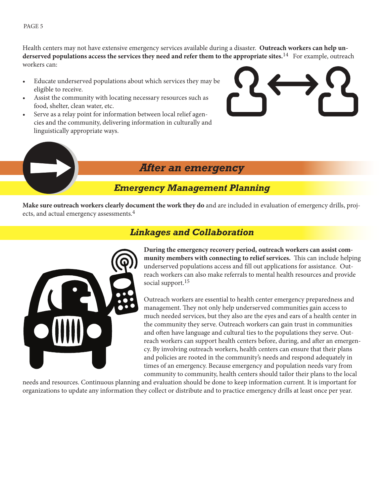PAGE 5

Health centers may not have extensive emergency services available during a disaster. **Outreach workers can help underserved populations access the services they need and refer them to the appropriate sites.**14 For example, outreach workers can:

- Educate underserved populations about which services they may be eligible to receive.
- Assist the community with locating necessary resources such as food, shelter, clean water, etc.
- Serve as a relay point for information between local relief agencies and the community, delivering information in culturally and linguistically appropriate ways.



# *After an emergency*

## *Emergency Management Planning*

**Make sure outreach workers clearly document the work they do** and are included in evaluation of emergency drills, projects, and actual emergency assessments.4



# *Linkages and Collaboration*

**During the emergency recovery period, outreach workers can assist com**munity members with connecting to relief services. This can include helping underserved populations access and fill out applications for assistance. Outreach workers can also make referrals to mental health resources and provide social support.<sup>15</sup>

Outreach workers are essential to health center emergency preparedness and management. They not only help underserved communities gain access to much needed services, but they also are the eyes and ears of a health center in the community they serve. Outreach workers can gain trust in communities and often have language and cultural ties to the populations they serve. Outreach workers can support health centers before, during, and after an emergency. By involving outreach workers, health centers can ensure that their plans and policies are rooted in the community's needs and respond adequately in times of an emergency. Because emergency and population needs vary from community to community, health centers should tailor their plans to the local

needs and resources. Continuous planning and evaluation should be done to keep information current. It is important for organizations to update any information they collect or distribute and to practice emergency drills at least once per year.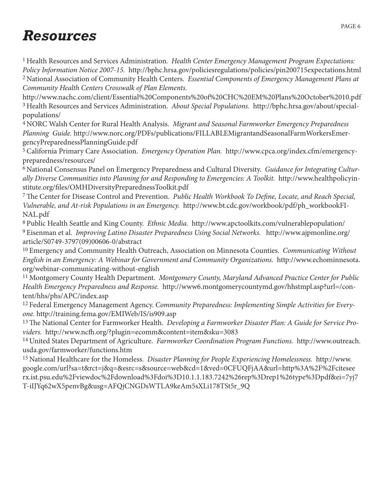# *Resources*

1 Health Resources and Services Administration. *Health Center Emergency Management Program Expectations: Policy Information Notice 2007-15.* http://bphc.hrsa.gov/policiesregulations/policies/pin200715expectations.html 2 National Association of Community Health Centers. *Essential Components of Emergency Management Plans at Community Health Centers Crosswalk of Plan Elements.*

http://www.nachc.com/client/Essential%20Components%20of%20CHC%20EM%20Plans%20October%2010.pdf 3 Health Resources and Services Administration. *About Special Populations.* http://bphc.hrsa.gov/about/specialpopulations/

4 NORC Walsh Center for Rural Health Analysis. *Migrant and Seasonal Farmworker Emergency Preparedness Planning Guide.* http://www.norc.org/PDFs/publications/FILLABLEMigrantandSeasonalFarmWorkersEmergencyPreparednessPlanningGuide.pdf

5 California Primary Care Association. *Emergency Operation Plan.* http://www.cpca.org/index.cfm/emergencypreparedness/resources/

6 National Consensus Panel on Emergency Preparedness and Cultural Diversity. *Guidance for Integrating Culturally Diverse Communities into Planning for and Responding to Emergencies: A Toolkit.* http://www.healthpolicyinstitute.org/files/OMHDiversityPreparednessToolkit.pdf

7 The Center for Disease Control and Prevention. *Public Health Workbook To Define, Locate, and Reach Special, Vulnerable, and At-risk Populations in an Emergency.* http://www.bt.cdc.gov/workbook/pdf/ph\_workbookFI-NAL.pdf

8 Public Health Seattle and King County. *Ethnic Media.* http://www.apctoolkits.com/vulnerablepopulation/ 9 Eisenman et al. *Improving Latino Disaster Preparedness Using Social Networks.* http://www.ajpmonline.org/ article/S0749-3797(09)00606-0/abstract

10 Emergency and Community Health Outreach, Association on Minnesota Counties. *Communicating Without English in an Emergency: A Webinar for Government and Community Organizations.* http://www.echominnesota. org/webinar-communicating-without-english

11 Montgomery County Health Department. *Montgomery County, Maryland Advanced Practice Center for Public Health Emergency Preparedness and Response.* http://www6.montgomerycountymd.gov/hhstmpl.asp?url=/content/hhs/phs/APC/index.asp

12 Federal Emergency Management Agency. *Community Preparedness: Implementing Simple Activities for Everyone.* http://training.fema.gov/EMIWeb/IS/is909.asp

13 The National Center for Farmworker Health. *Developing a Farmworker Disaster Plan: A Guide for Service Providers.* http://www.ncfh.org/?plugin=ecomm&content=item&sku=3083

14 United States Department of Agriculture. *Farmworker Coordination Program Functions.* http://www.outreach. usda.gov/farmworker/functions.htm

15 National Healthcare for the Homeless. *Disaster Planning for People Experiencing Homelessness.* http://www. google.com/url?sa=t&rct=j&q=&esrc=s&source=web&cd=1&ved=0CFUQFjAA&url=http%3A%2F%2Fcitesee rx.ist.psu.edu%2Fviewdoc%2Fdownload%3Fdoi%3D10.1.1.183.7242%26rep%3Drep1%26type%3Dpdf&ei=7yj7 T-iIJYq62wX5penvBg&usg=AFQjCNGDsWTLA9keAm5sXLi178TSt5r\_9Q